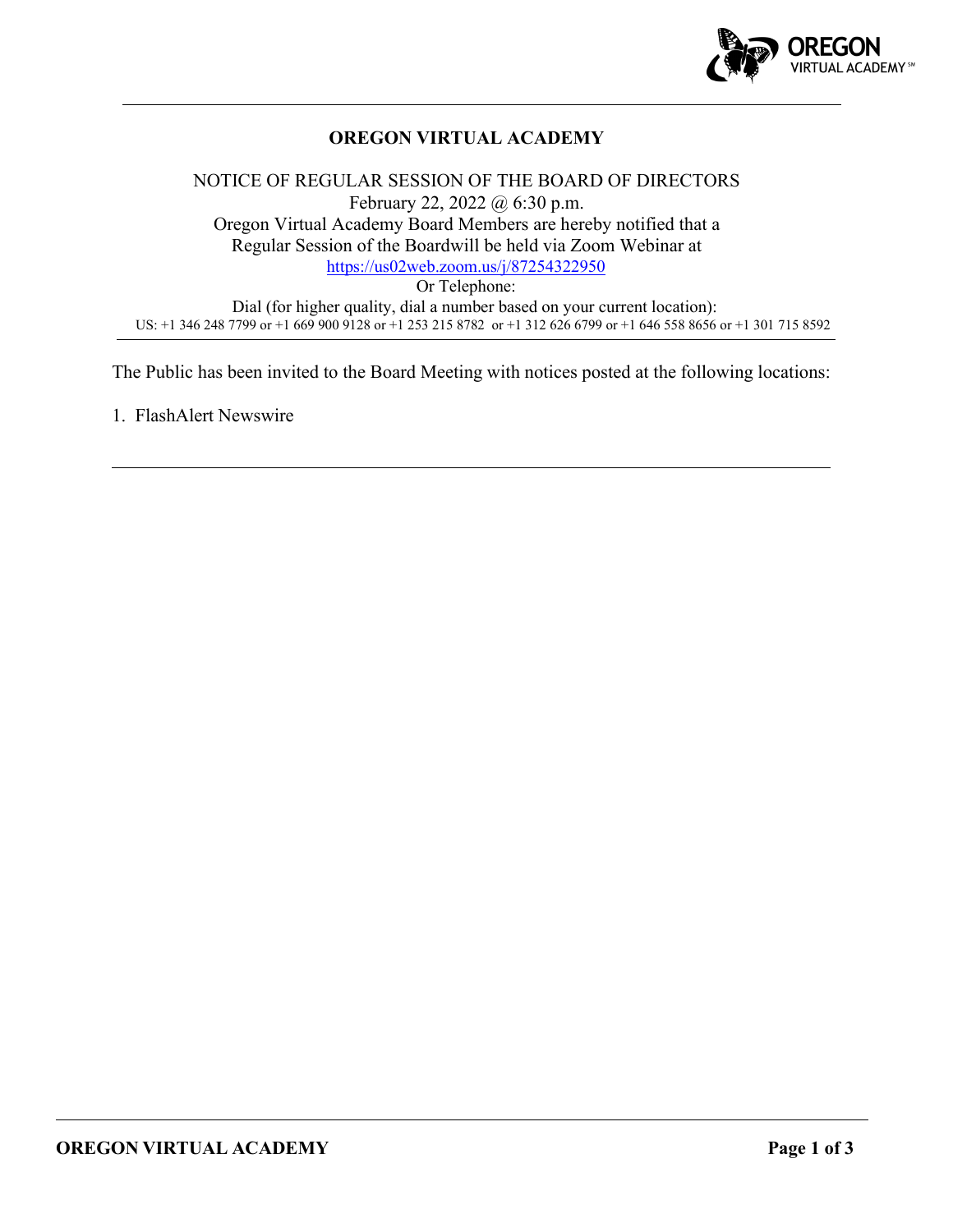

# **OREGON VIRTUAL ACADEMY**

# NOTICE OF REGULAR SESSION OF THE BOARD OF DIRECTORS February 22, 2022 @ 6:30 p.m. Oregon Virtual Academy Board Members are hereby notified that a Regular Session of the Boardwill be held via Zoom Webinar at <https://us02web.zoom.us/j/87254322950> Or Telephone: Dial (for higher quality, dial a number based on your current location): US: +1 346 248 7799 or +1 669 900 9128 or +1 253 215 8782 or +1 312 626 6799 or +1 646 558 8656 or +1 301 715 8592

The Public has been invited to the Board Meeting with notices posted at the following locations:

1. FlashAlert Newswire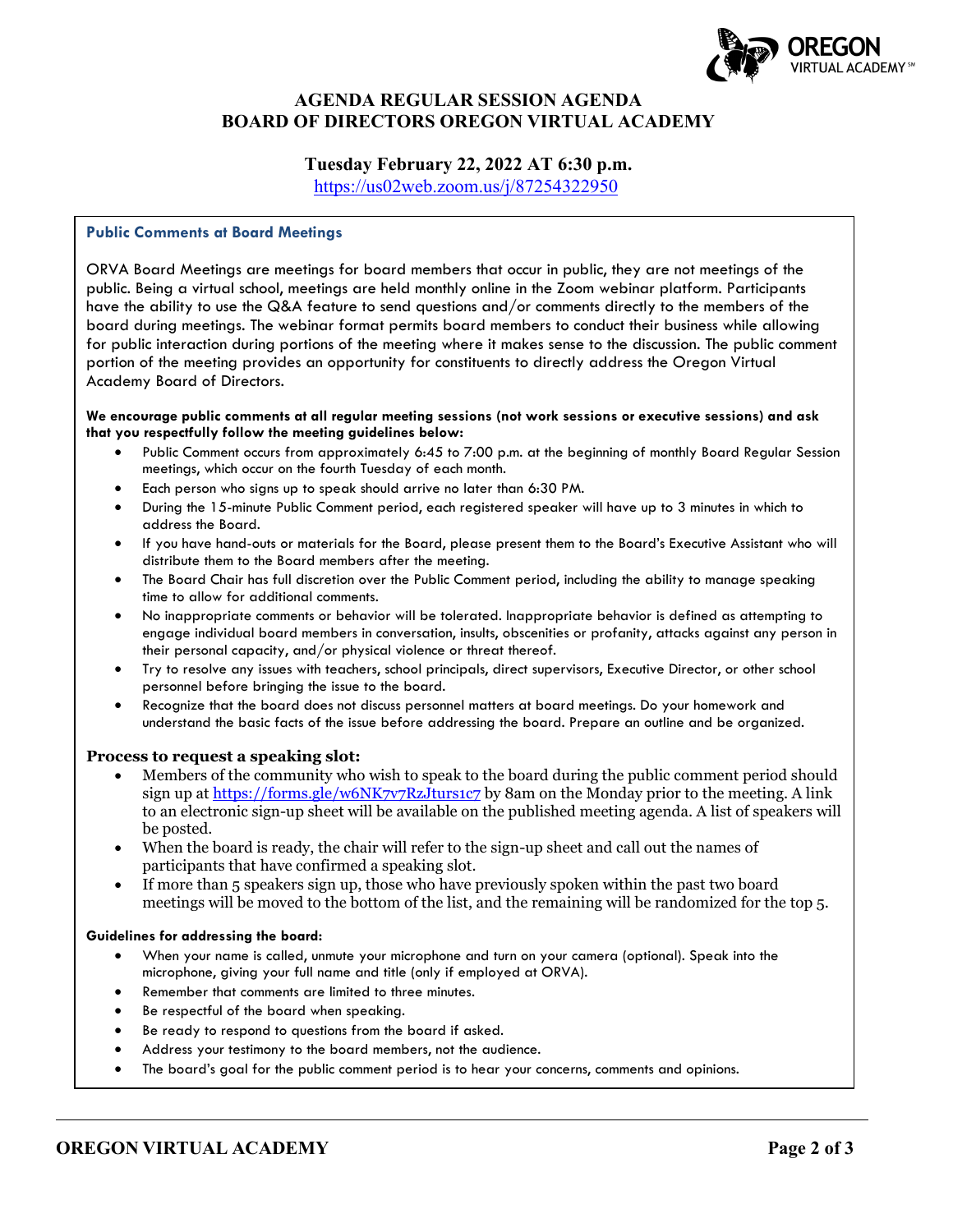

# **AGENDA REGULAR SESSION AGENDA BOARD OF DIRECTORS OREGON VIRTUAL ACADEMY**

## **Tuesday February 22, 2022 AT 6:30 p.m.**

<https://us02web.zoom.us/j/87254322950>

### **Public Comments at Board Meetings**

ORVA Board Meetings are meetings for board members that occur in public, they are not meetings of the public. Being a virtual school, meetings are held monthly online in the Zoom webinar platform. Participants have the ability to use the Q&A feature to send questions and/or comments directly to the members of the board during meetings. The webinar format permits board members to conduct their business while allowing for public interaction during portions of the meeting where it makes sense to the discussion. The public comment portion of the meeting provides an opportunity for constituents to directly address the Oregon Virtual Academy Board of Directors.

#### **We encourage public comments at all regular meeting sessions (not work sessions or executive sessions) and ask that you respectfully follow the meeting guidelines below:**

- Public Comment occurs from approximately 6:45 to 7:00 p.m. at the beginning of monthly Board Regular Session meetings, which occur on the fourth Tuesday of each month.
- Each person who signs up to speak should arrive no later than 6:30 PM.
- During the 15-minute Public Comment period, each registered speaker will have up to 3 minutes in which to address the Board.
- If you have hand-outs or materials for the Board, please present them to the Board's Executive Assistant who will distribute them to the Board members after the meeting.
- The Board Chair has full discretion over the Public Comment period, including the ability to manage speaking time to allow for additional comments.
- No inappropriate comments or behavior will be tolerated. Inappropriate behavior is defined as attempting to engage individual board members in conversation, insults, obscenities or profanity, attacks against any person in their personal capacity, and/or physical violence or threat thereof.
- Try to resolve any issues with teachers, school principals, direct supervisors, Executive Director, or other school personnel before bringing the issue to the board.
- Recognize that the board does not discuss personnel matters at board meetings. Do your homework and understand the basic facts of the issue before addressing the board. Prepare an outline and be organized.

### **Process to request a speaking slot:**

- Members of the community who wish to speak to the board during the public comment period should sign up at<https://forms.gle/w6NK7v7RzJturs1c7> by 8am on the Monday prior to the meeting. A link to an electronic sign-up sheet will be available on the published meeting agenda. A list of speakers will be posted.
- When the board is ready, the chair will refer to the sign-up sheet and call out the names of participants that have confirmed a speaking slot.
- If more than 5 speakers sign up, those who have previously spoken within the past two board meetings will be moved to the bottom of the list, and the remaining will be randomized for the top 5.

#### **Guidelines for addressing the board:**

- When your name is called, unmute your microphone and turn on your camera (optional). Speak into the microphone, giving your full name and title (only if employed at ORVA).
- Remember that comments are limited to three minutes.
- Be respectful of the board when speaking.
- Be ready to respond to questions from the board if asked.
- Address your testimony to the board members, not the audience.
- The board's goal for the public comment period is to hear your concerns, comments and opinions.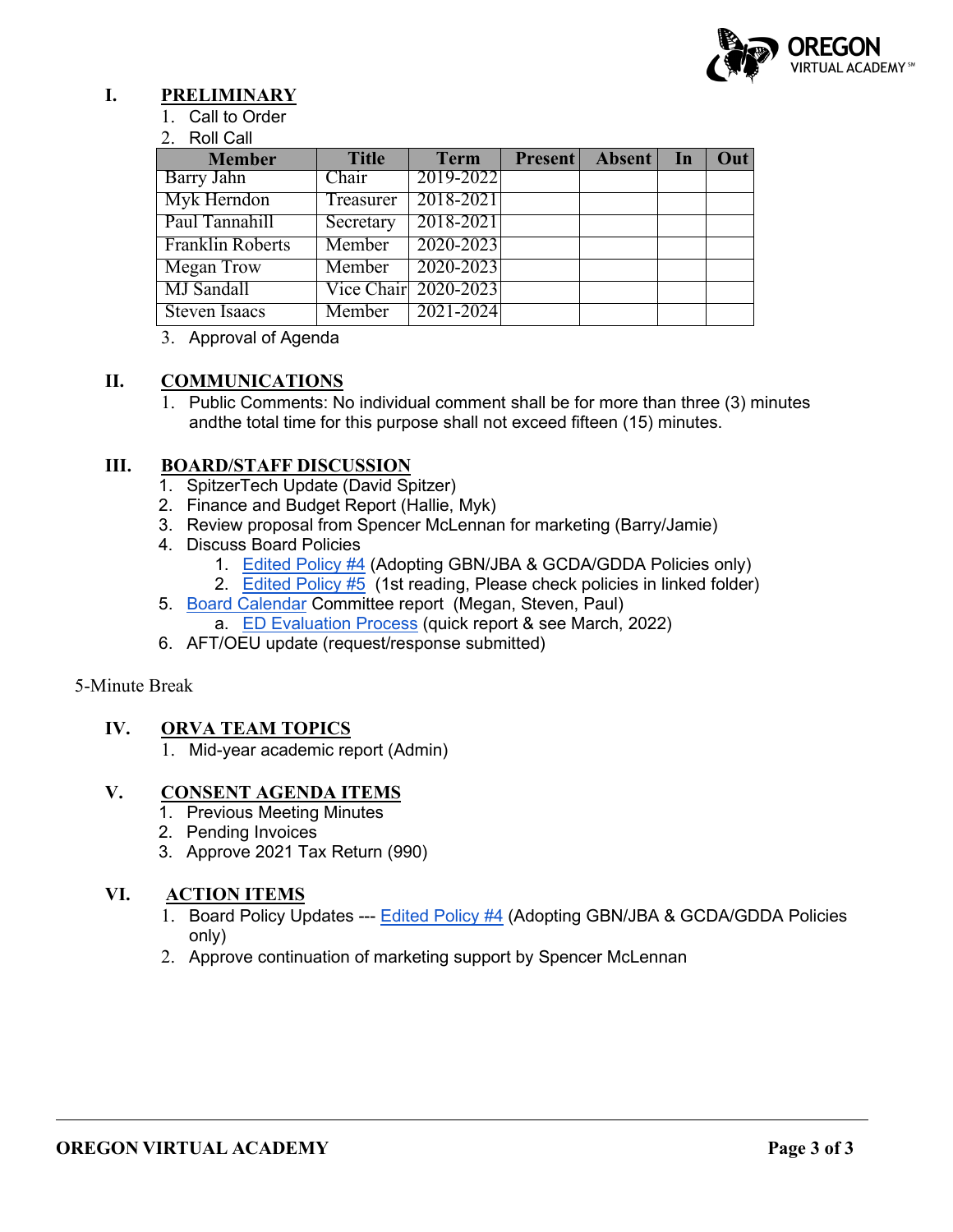

# **I. PRELIMINARY**

1. Call to Order

### 2. Roll Call

| <b>Member</b>           | <b>Title</b> | <b>Term</b>          | Present Absent In | Out |
|-------------------------|--------------|----------------------|-------------------|-----|
| Barry Jahn              | Chair        | 2019-2022            |                   |     |
| Myk Herndon             | Treasurer    | 2018-2021            |                   |     |
| Paul Tannahill          | Secretary    | 2018-2021            |                   |     |
| <b>Franklin Roberts</b> | Member       | 2020-2023            |                   |     |
| <b>Megan Trow</b>       | Member       | 2020-2023            |                   |     |
| MJ Sandall              |              | Vice Chair 2020-2023 |                   |     |
| <b>Steven Isaacs</b>    | Member       | 2021-2024            |                   |     |

3. Approval of Agenda

# **II. COMMUNICATIONS**

1. Public Comments: No individual comment shall be for more than three (3) minutes andthe total time for this purpose shall not exceed fifteen (15) minutes.

# **III. BOARD/STAFF DISCUSSION**

- 1. SpitzerTech Update (David Spitzer)
- 2. Finance and Budget Report (Hallie, Myk)
- 3. Review proposal from Spencer McLennan for marketing (Barry/Jamie)
- 4. Discuss Board Policies
	- 1. [Edited Policy #4](https://drive.google.com/drive/folders/1yuo7TJ8Cqu8QeWbzJ3OO4k5o-7rA07El?usp=sharing) (Adopting GBN/JBA & GCDA/GDDA Policies only)
	- 2. [Edited Policy #5](https://drive.google.com/drive/folders/1RL9qPJ_QLSzF2pvFT5dWP5H3iq6auU82?usp=sharing) (1st reading, Please check policies in linked folder)
- 5. [Board Calendar](https://docs.google.com/document/d/1tVrSGJ6v5gCtv5NNlIoGCFS6zIGPmcuhm6aP9laESig/edit?usp=sharing) Committee report (Megan, Steven, Paul) a. [ED Evaluation Process](https://docs.google.com/document/d/1ikp_Pxa50FnVOA75dm8aKlSnsJ4t43ZG23FDPEgn2lY/edit?usp=sharing) (quick report & see March, 2022)
- 6. AFT/OEU update (request/response submitted)

### 5-Minute Break

# **IV. ORVA TEAM TOPICS**

1. Mid-year academic report (Admin)

# **V. CONSENT AGENDA ITEMS**

- 1. Previous Meeting Minutes
- 2. Pending Invoices
- 3. Approve 2021 Tax Return (990)

# **VI. ACTION ITEMS**

- 1. Board Policy Updates --- [Edited Policy #4](https://drive.google.com/drive/u/1/folders/1yuo7TJ8Cqu8QeWbzJ3OO4k5o-7rA07El) (Adopting GBN/JBA & GCDA/GDDA Policies only)
- 2. Approve continuation of marketing support by Spencer McLennan